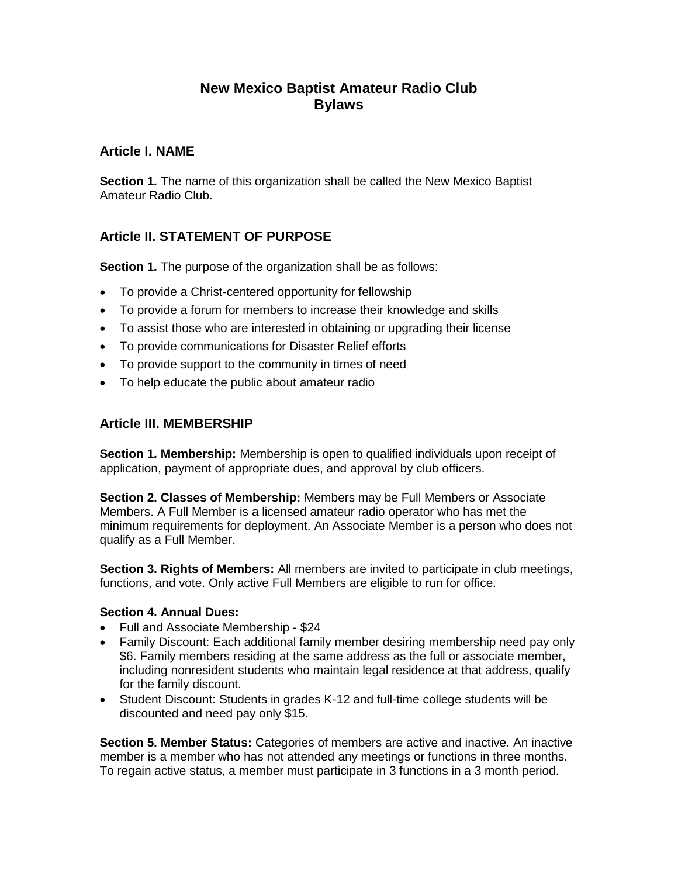# **New Mexico Baptist Amateur Radio Club Bylaws**

## **Article I. NAME**

**Section 1.** The name of this organization shall be called the New Mexico Baptist Amateur Radio Club.

# **Article II. STATEMENT OF PURPOSE**

**Section 1.** The purpose of the organization shall be as follows:

- To provide a Christ-centered opportunity for fellowship
- To provide a forum for members to increase their knowledge and skills
- To assist those who are interested in obtaining or upgrading their license
- To provide communications for Disaster Relief efforts
- To provide support to the community in times of need
- To help educate the public about amateur radio

### **Article III. MEMBERSHIP**

**Section 1. Membership:** Membership is open to qualified individuals upon receipt of application, payment of appropriate dues, and approval by club officers.

**Section 2. Classes of Membership:** Members may be Full Members or Associate Members. A Full Member is a licensed amateur radio operator who has met the minimum requirements for deployment. An Associate Member is a person who does not qualify as a Full Member.

**Section 3. Rights of Members:** All members are invited to participate in club meetings, functions, and vote. Only active Full Members are eligible to run for office.

#### **Section 4. Annual Dues:**

- Full and Associate Membership \$24
- Family Discount: Each additional family member desiring membership need pay only \$6. Family members residing at the same address as the full or associate member, including nonresident students who maintain legal residence at that address, qualify for the family discount.
- Student Discount: Students in grades K-12 and full-time college students will be discounted and need pay only \$15.

**Section 5. Member Status:** Categories of members are active and inactive. An inactive member is a member who has not attended any meetings or functions in three months. To regain active status, a member must participate in 3 functions in a 3 month period.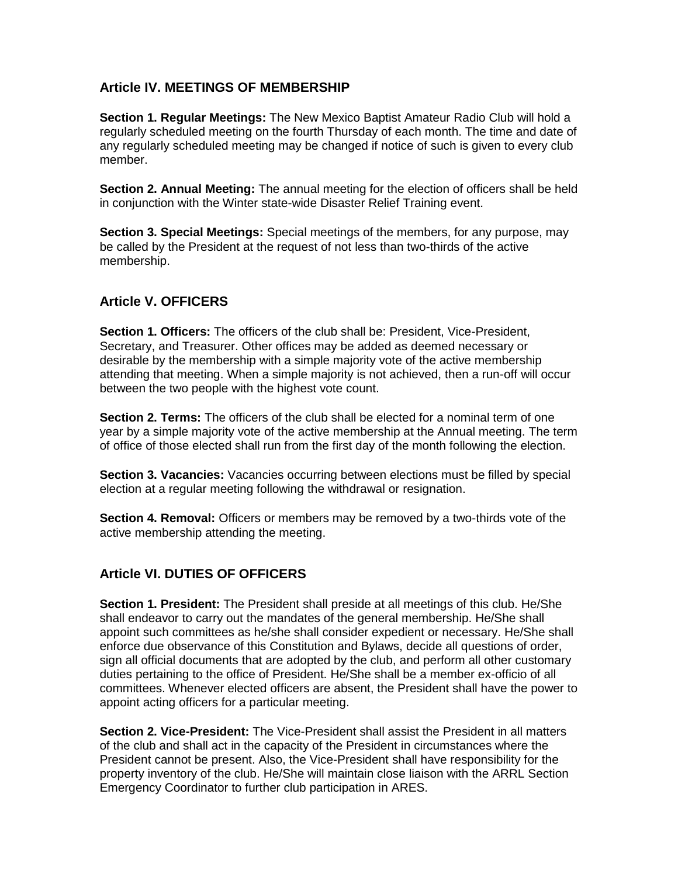### **Article IV. MEETINGS OF MEMBERSHIP**

**Section 1. Regular Meetings:** The New Mexico Baptist Amateur Radio Club will hold a regularly scheduled meeting on the fourth Thursday of each month. The time and date of any regularly scheduled meeting may be changed if notice of such is given to every club member.

**Section 2. Annual Meeting:** The annual meeting for the election of officers shall be held in conjunction with the Winter state-wide Disaster Relief Training event.

**Section 3. Special Meetings:** Special meetings of the members, for any purpose, may be called by the President at the request of not less than two-thirds of the active membership.

# **Article V. OFFICERS**

**Section 1. Officers:** The officers of the club shall be: President, Vice-President, Secretary, and Treasurer. Other offices may be added as deemed necessary or desirable by the membership with a simple majority vote of the active membership attending that meeting. When a simple majority is not achieved, then a run-off will occur between the two people with the highest vote count.

**Section 2. Terms:** The officers of the club shall be elected for a nominal term of one year by a simple majority vote of the active membership at the Annual meeting. The term of office of those elected shall run from the first day of the month following the election.

**Section 3. Vacancies:** Vacancies occurring between elections must be filled by special election at a regular meeting following the withdrawal or resignation.

**Section 4. Removal:** Officers or members may be removed by a two-thirds vote of the active membership attending the meeting.

# **Article VI. DUTIES OF OFFICERS**

**Section 1. President:** The President shall preside at all meetings of this club. He/She shall endeavor to carry out the mandates of the general membership. He/She shall appoint such committees as he/she shall consider expedient or necessary. He/She shall enforce due observance of this Constitution and Bylaws, decide all questions of order, sign all official documents that are adopted by the club, and perform all other customary duties pertaining to the office of President. He/She shall be a member ex-officio of all committees. Whenever elected officers are absent, the President shall have the power to appoint acting officers for a particular meeting.

**Section 2. Vice-President:** The Vice-President shall assist the President in all matters of the club and shall act in the capacity of the President in circumstances where the President cannot be present. Also, the Vice-President shall have responsibility for the property inventory of the club. He/She will maintain close liaison with the ARRL Section Emergency Coordinator to further club participation in ARES.